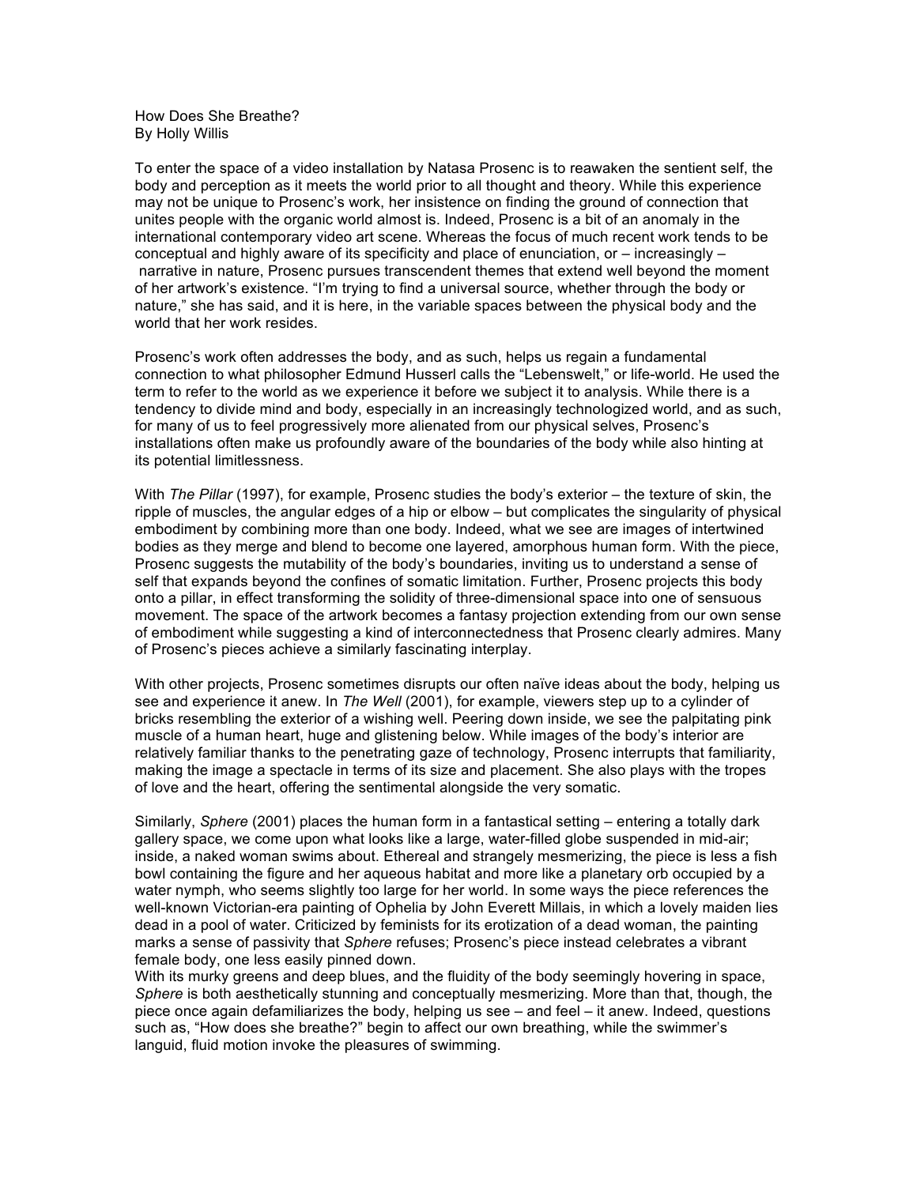How Does She Breathe? By Holly Willis

To enter the space of a video installation by Natasa Prosenc is to reawaken the sentient self, the body and perception as it meets the world prior to all thought and theory. While this experience may not be unique to Prosenc's work, her insistence on finding the ground of connection that unites people with the organic world almost is. Indeed, Prosenc is a bit of an anomaly in the international contemporary video art scene. Whereas the focus of much recent work tends to be conceptual and highly aware of its specificity and place of enunciation, or  $-$  increasingly  $$ narrative in nature, Prosenc pursues transcendent themes that extend well beyond the moment of her artwork's existence. "I'm trying to find a universal source, whether through the body or nature," she has said, and it is here, in the variable spaces between the physical body and the world that her work resides.

Prosenc's work often addresses the body, and as such, helps us regain a fundamental connection to what philosopher Edmund Husserl calls the "Lebenswelt," or life-world. He used the term to refer to the world as we experience it before we subject it to analysis. While there is a tendency to divide mind and body, especially in an increasingly technologized world, and as such, for many of us to feel progressively more alienated from our physical selves, Prosenc's installations often make us profoundly aware of the boundaries of the body while also hinting at its potential limitlessness.

With *The Pillar* (1997), for example, Prosenc studies the body's exterior – the texture of skin, the ripple of muscles, the angular edges of a hip or elbow – but complicates the singularity of physical embodiment by combining more than one body. Indeed, what we see are images of intertwined bodies as they merge and blend to become one layered, amorphous human form. With the piece, Prosenc suggests the mutability of the body's boundaries, inviting us to understand a sense of self that expands beyond the confines of somatic limitation. Further, Prosenc projects this body onto a pillar, in effect transforming the solidity of three-dimensional space into one of sensuous movement. The space of the artwork becomes a fantasy projection extending from our own sense of embodiment while suggesting a kind of interconnectedness that Prosenc clearly admires. Many of Prosenc's pieces achieve a similarly fascinating interplay.

With other projects, Prosenc sometimes disrupts our often naïve ideas about the body, helping us see and experience it anew. In *The Well* (2001), for example, viewers step up to a cylinder of bricks resembling the exterior of a wishing well. Peering down inside, we see the palpitating pink muscle of a human heart, huge and glistening below. While images of the body's interior are relatively familiar thanks to the penetrating gaze of technology, Prosenc interrupts that familiarity, making the image a spectacle in terms of its size and placement. She also plays with the tropes of love and the heart, offering the sentimental alongside the very somatic.

Similarly, *Sphere* (2001) places the human form in a fantastical setting – entering a totally dark gallery space, we come upon what looks like a large, water-filled globe suspended in mid-air; inside, a naked woman swims about. Ethereal and strangely mesmerizing, the piece is less a fish bowl containing the figure and her aqueous habitat and more like a planetary orb occupied by a water nymph, who seems slightly too large for her world. In some ways the piece references the well-known Victorian-era painting of Ophelia by John Everett Millais, in which a lovely maiden lies dead in a pool of water. Criticized by feminists for its erotization of a dead woman, the painting marks a sense of passivity that *Sphere* refuses; Prosenc's piece instead celebrates a vibrant female body, one less easily pinned down.

With its murky greens and deep blues, and the fluidity of the body seemingly hovering in space, *Sphere* is both aesthetically stunning and conceptually mesmerizing. More than that, though, the piece once again defamiliarizes the body, helping us see – and feel – it anew. Indeed, questions such as, "How does she breathe?" begin to affect our own breathing, while the swimmer's languid, fluid motion invoke the pleasures of swimming.